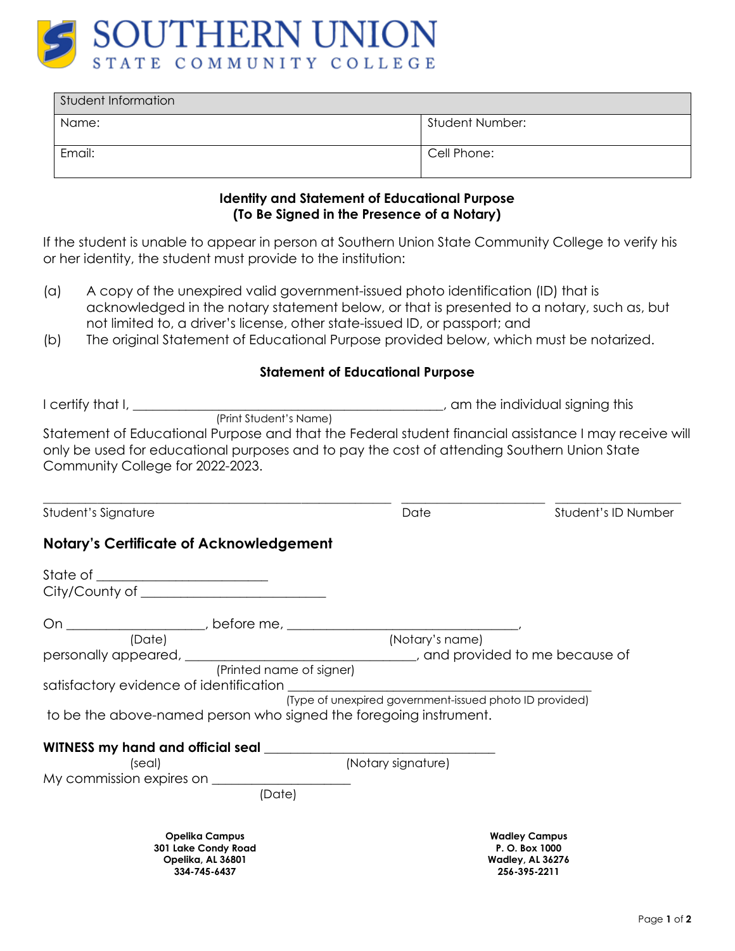

| Student Information |                 |  |
|---------------------|-----------------|--|
| Name:               | Student Number: |  |
| Email:              | Cell Phone:     |  |

## **Identity and Statement of Educational Purpose (To Be Signed in the Presence of a Notary)**

If the student is unable to appear in person at Southern Union State Community College to verify his or her identity, the student must provide to the institution:

- (a) A copy of the unexpired valid government-issued photo identification (ID) that is acknowledged in the notary statement below, or that is presented to a notary, such as, but not limited to, a driver's license, other state-issued ID, or passport; and
- (b) The original Statement of Educational Purpose provided below, which must be notarized.

## **Statement of Educational Purpose**

| Statement of Educational Purpose and that the Federal student financial assistance I may receive will<br>only be used for educational purposes and to pay the cost of attending Southern Union State<br>Community College for 2022-2023. |                                                         |                                                                                   |
|------------------------------------------------------------------------------------------------------------------------------------------------------------------------------------------------------------------------------------------|---------------------------------------------------------|-----------------------------------------------------------------------------------|
| Student's Signature                                                                                                                                                                                                                      | Date                                                    | Student's ID Number                                                               |
| <b>Notary's Certificate of Acknowledgement</b>                                                                                                                                                                                           |                                                         |                                                                                   |
|                                                                                                                                                                                                                                          |                                                         |                                                                                   |
|                                                                                                                                                                                                                                          |                                                         |                                                                                   |
|                                                                                                                                                                                                                                          |                                                         |                                                                                   |
| (Date)                                                                                                                                                                                                                                   | (Notary's name)                                         |                                                                                   |
|                                                                                                                                                                                                                                          |                                                         |                                                                                   |
| (Printed name of signer)                                                                                                                                                                                                                 |                                                         |                                                                                   |
| satisfactory evidence of identification                                                                                                                                                                                                  | (Type of unexpired government-issued photo ID provided) |                                                                                   |
| to be the above-named person who signed the foregoing instrument.                                                                                                                                                                        |                                                         |                                                                                   |
|                                                                                                                                                                                                                                          |                                                         |                                                                                   |
| (seal)                                                                                                                                                                                                                                   | (Notary signature)                                      |                                                                                   |
|                                                                                                                                                                                                                                          |                                                         |                                                                                   |
| (Date)                                                                                                                                                                                                                                   |                                                         |                                                                                   |
| <b>Opelika Campus</b><br>301 Lake Condy Road<br>Opelika, AL 36801<br>334-745-6437                                                                                                                                                        |                                                         | <b>Wadley Campus</b><br>P. O. Box 1000<br><b>Wadley, AL 36276</b><br>256-395-2211 |